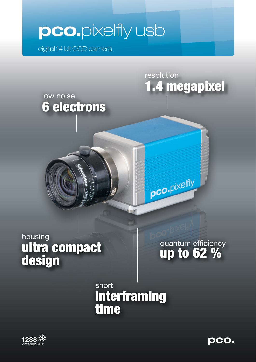# **pco.**pixelfly usb

digital 14 bit CCD camera

6 electrons

low noise



quantum efficiency up to 62 %

resolution

pco.pixelfly

1.4 megapixel

short interframing time



**pco.**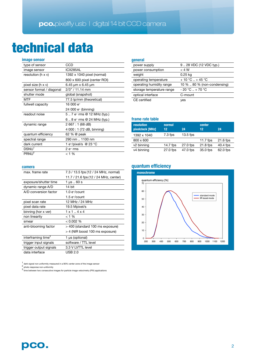## technical data

| CCD                             |  |  |
|---------------------------------|--|--|
| ICX285AL                        |  |  |
| 1392 x 1040 pixel (normal)      |  |  |
| 800 x 600 pixel (center ROI)    |  |  |
| 6.45 $\mu$ m x 6.45 $\mu$ m     |  |  |
| $2/3$ " / 11.14 mm              |  |  |
| global (snapshot)               |  |  |
| 77.5 lp/mm (theoretical)        |  |  |
| 16 000 e <sup>-</sup>           |  |  |
| 24 000 e <sup>-</sup> (binning) |  |  |
| 57 e- rms @ 12 MHz (typ.)       |  |  |
| 68 e- rms @ 24 MHz (typ.)       |  |  |
| 2 667 : 1 (68 dB)               |  |  |
| 4 000 : 1 (72 dB, binning)      |  |  |
| 62 % @ peak                     |  |  |
| 290 nm  1100 nm                 |  |  |
| 1 e-/pixel/s @ 23 $^{\circ}$ C  |  |  |
|                                 |  |  |
| $2e$ -rms                       |  |  |
|                                 |  |  |

### **camera**

| max. frame rate                | 7.3 / 13.5 fps (12 / 24 MHz, normal)  |  |  |
|--------------------------------|---------------------------------------|--|--|
|                                | 11.7 / 21.6 fps (12 / 24 MHz, center) |  |  |
| exposure/shutter time          | 1 µs  60 s                            |  |  |
| dynamic range A/D              | 14 bit                                |  |  |
| A/D conversion factor          | $1.0$ e-/count                        |  |  |
|                                | $1.5$ e- $/$ count                    |  |  |
| pixel scan rate                | 12 MHz / 24 MHz                       |  |  |
| pixel data rate                | 19.5 Mpixel/s                         |  |  |
| binning (hor x ver)            | $1 \times 1$ . $4 \times 4$           |  |  |
| non linearity                  | $< 1 \%$                              |  |  |
| smear                          | $< 0.002 \%$                          |  |  |
| anti-blooming factor           | > 400 (standard 100 ms exposure)      |  |  |
|                                | > 4 (NIR boost 100 ms exposure)       |  |  |
| interframing time <sup>3</sup> | 1 µs (optional)                       |  |  |
| trigger input signals          | software / TTL level                  |  |  |
| trigger output signals         | 3.3 V LVTTL level                     |  |  |
| data interface                 | <b>USB 2.0</b>                        |  |  |

 $\frac{1}{2}$  dark signal non-uniformity measured in a 90% center zone of the image sensor

2 photo response non-uniformity

<sup>3</sup>time between two consecutive images for particle image velocimetry (PIV) applications

## **general**

| gonoran                   |                             |
|---------------------------|-----------------------------|
| power supply              | 928 VDC (12 VDC typ.)       |
| power consumption         | $<$ 4 W                     |
| weight                    | $0.25$ kg                   |
| operating temperature     | $+10 °C + 45 °C$            |
| operating humidity range  | 10 %  80 % (non-condensing) |
| storage temperature range | $-20 °C + 70 °C$            |
| optical interface         | C-mount                     |
| CE certified              | yes                         |

## **frame rate table**

| <b>resolution</b><br>pixelclock [MHz] | normal<br>12 | 24         | center<br>12 | 24         |
|---------------------------------------|--------------|------------|--------------|------------|
| 1392 x 1040                           | $7.3$ fps    | $13.5$ fps |              |            |
| 800 x 600                             |              |            | 11.7 $f$ ps  | $21.6$ fps |
| v <sub>2</sub> binning                | 14.7 fps     | 27.0 fps   | 21.8 fps     | 40.4 fps   |
| v <sub>4</sub> binning                | 27.0 fps     | 47.0 fps   | 35.0 fps     | 62.0 fps   |

## **quantum efficiency**

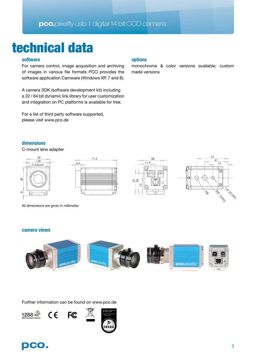## **pco.**pixelfly usb | digital 14 bit CCD camera

## technical data

## **software**

For camera control, image acquisition and archiving of images in various file formats PCO provides the software application Camware (Windows XP, 7 and 8).

A camera SDK (software development kit) including a 32 / 64 bit dynamic link library for user customization and integration on PC platforms is available for free.

For a list of third party software supported, please visit www.pco.de

## **options**

monochrome & color versions available; custom made versions

## **dimensions**

C-mount lens adapter



All dimensions are given in millimeter.

## **camera views**



Further information can be found on www.pco.de